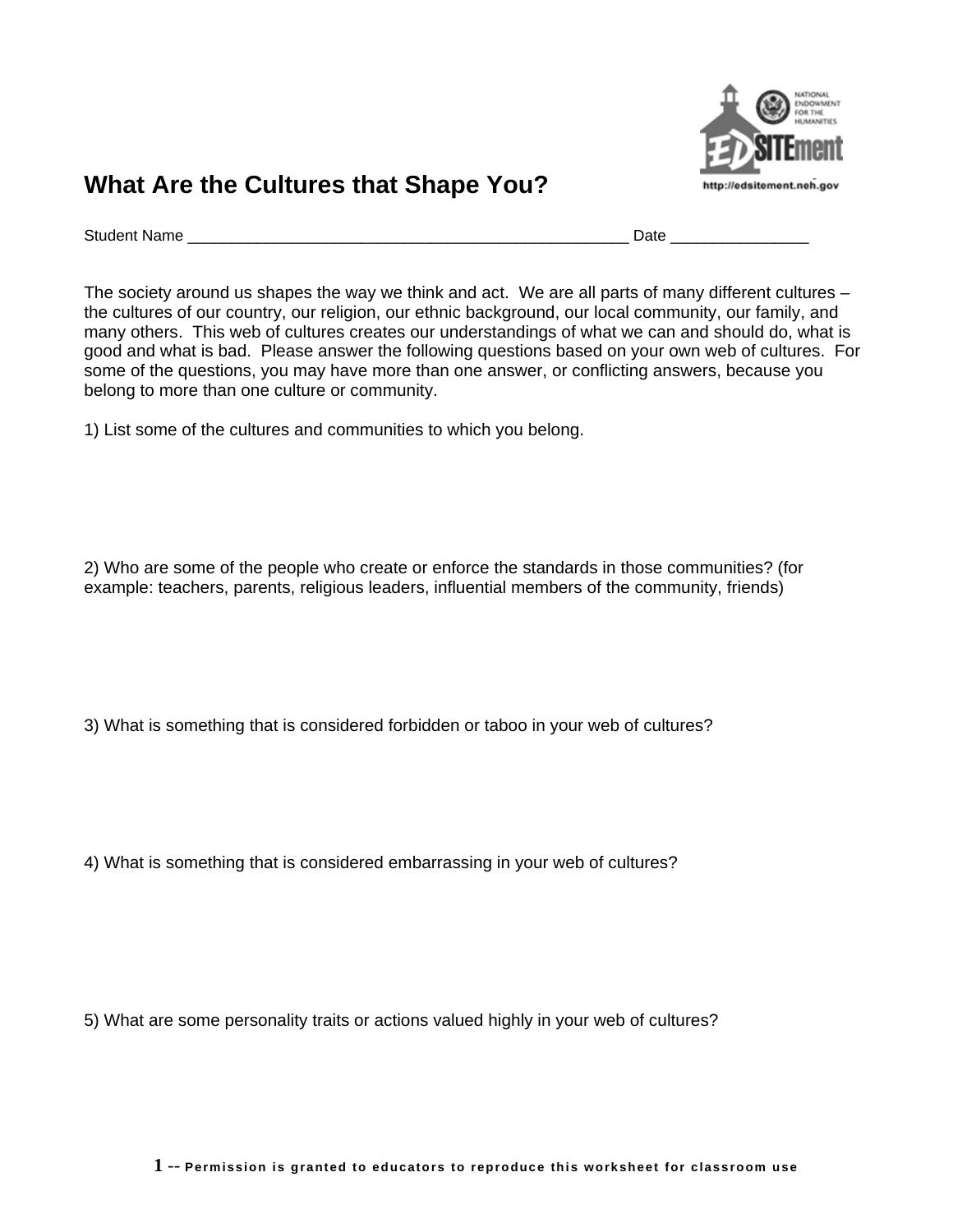

## **What Are the Cultures that Shape You?**

Student Name \_\_\_\_\_\_\_\_\_\_\_\_\_\_\_\_\_\_\_\_\_\_\_\_\_\_\_\_\_\_\_\_\_\_\_\_\_\_\_\_\_\_\_\_\_\_\_\_\_\_\_ Date \_\_\_\_\_\_\_\_\_\_\_\_\_\_\_\_

The society around us shapes the way we think and act. We are all parts of many different cultures – the cultures of our country, our religion, our ethnic background, our local community, our family, and many others. This web of cultures creates our understandings of what we can and should do, what is good and what is bad. Please answer the following questions based on your own web of cultures. For some of the questions, you may have more than one answer, or conflicting answers, because you belong to more than one culture or community.

1) List some of the cultures and communities to which you belong.

2) Who are some of the people who create or enforce the standards in those communities? (for example: teachers, parents, religious leaders, influential members of the community, friends)

3) What is something that is considered forbidden or taboo in your web of cultures?

4) What is something that is considered embarrassing in your web of cultures?

5) What are some personality traits or actions valued highly in your web of cultures?